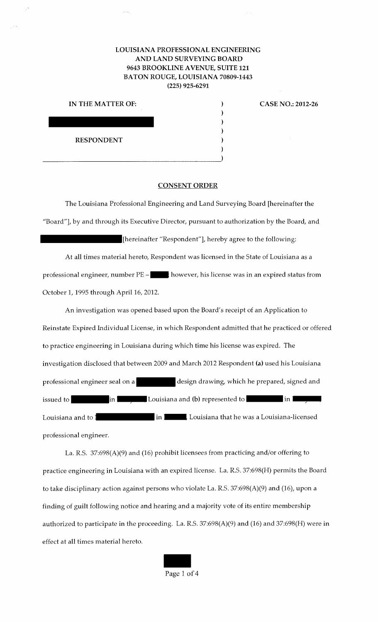## LOUISIANA PROFESSIONAL ENGINEERING AND LAND SURVEYING BOARD 9643 BROOKLINE A VENUE, SUITE 121 BATON ROUGE, LOUISIANA 70809-1443 (225) 925-6291

| IN THE MATTER OF: |  |
|-------------------|--|
| ٠                 |  |
|                   |  |
|                   |  |
| <b>RESPONDENT</b> |  |
|                   |  |
|                   |  |

CASE NO.: 2012-26

## CONSENT ORDER

The Louisiana Professional Engineering and Land Surveying Board [hereinafter the "Board"], by and through its Executive Director, pursuant to authorization by the Board, and [hereinafter "Respondent"], hereby agree to the following:

At all times material hereto, Respondent was licensed in the State of Louisiana as a professional engineer, number  $PE \blacksquare$ ; however, his license was in an expired status from October 1, 1995 through April 16, 2012.

An investigation was opened based upon the Board's receipt of an Application to Reinstate Expired Individual License, in which Respondent admitted that he practiced or offered to practice engineering in Louisiana during which time his license was expired. The investigation disclosed that between 2009 and March 2012 Respondent (a) used his Louisiana professional engineer seal on a design drawing, which he prepared, signed and **•••** In **I** *••* I Louisiana and (b) represented to *i* **in I** *<sub>•</sub> ••* Louisiana and to in example in in the Louisiana that he was a Louisiana-licensed professional engineer.

La. R.S. 37:698(A)(9) and (16) prohibit licensees from practicing and/or offering to practice engineering in Louisiana with an expired license. La. R.S. 37:698(H) permits the Board to take disciplinary action against persons who violate La. R.S. 37:698(A)(9) and (16), upon a finding of guilt following notice and hearing and a majority vote of its entire membership authorized to participate in the proceeding. La. R.S. 37:698(A)(9) and (16) and 37:698(H) were in effect at all times material hereto.

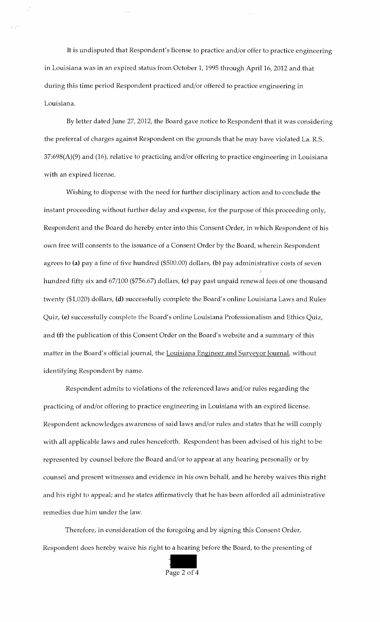It is undisputed that Respondent's license to practice and/or offer to practice engineering in Louisiana was in an expired status from October 1, 1995 through April 16, 2012 and that during this time period Respondent practiced and/or offered to practice engineering in Louisiana.

By letter dated June 27, 2012, the Board gave notice to Respondent that it was considering the preferral of charges against Respondent on the grounds that he may have violated La. R.S. 37:698(A)(9) and (16), relative to practicing and/or offering to practice engineering in Louisiana with an expired license.

Wishing to dispense with the need for further disciplinary action and to conclude the instant proceeding without further delay and expense, for the purpose of this proceeding only, Respondent and the Board do hereby enter into this Consent Order, in which Respondent of his own free will consents to the issuance of a Consent Order by the Board, wherein Respondent agrees to (a) pay a fine of five hundred (\$500.00) dollars, (b) pay administrative costs of seven hundred fifty six and 67/100 (\$756.67) dollars, (c) pay past unpaid renewal fees of one thousand twenty (\$1,020) dollars, (d) successfully complete the Board's online Louisiana Laws and Rules Quiz, (e) successfully complete the Board's online Louisiana Professionalism and Ethics Quiz, and (f) the publication of this Consent Order on the Board's website and a summary of this matter in the Board's official journal, the Louisiana Engineer and Surveyor Journal, without identifying Respondent by name.

Respondent admits to violations of the referenced laws and/or rules regarding the practicing of and/or offering to practice engineering in Louisiana with an expired license. Respondent acknowledges awareness of said laws and/or rules and states that he will comply with all applicable laws and rules henceforth. Respondent has been advised of his right to be represented by counsel before the Board and/or to appear at any hearing personally or by counsel and present witnesses and evidence in his own behalf, and he hereby waives this right and his right to appeal; and he states affirmatively that he has been afforded all administrative remedies due him under the law.

Therefore, in consideration of the foregoing and by signing this Consent Order, Respondent does hereby waive his right to a hearing before the Board, to the presenting of

Page 2 of 4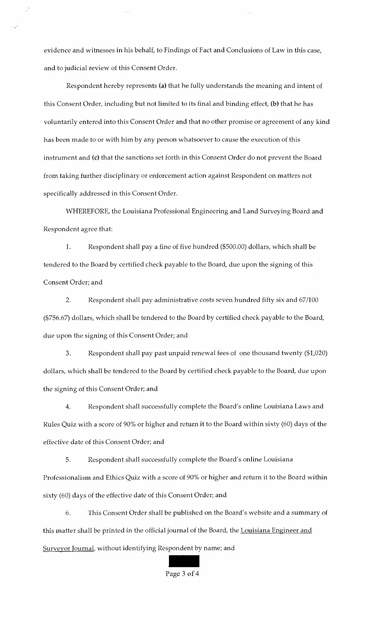evidence and witnesses in his behalf, to Findings of Fact and Conclusions of Law in this case, and to judicial review of this Consent Order.

Respondent hereby represents (a) that he fully understands the meaning and intent of this Consent Order, including but not limited to its final and binding effect, (b) that he has voluntarily entered into this Consent Order and that no other promise or agreement of any kind has been made to or with him by any person whatsoever to cause the execution of this instrument and (c) that the sanctions set forth in this Consent Order do not prevent the Board from taking further disciplinary or enforcement action against Respondent on matters not specifically addressed in this Consent Order.

WHEREFORE, the Louisiana Professional Engineering and Land Surveying Board and Respondent agree that:

1. Respondent shall pay a fine of five hundred (\$500.00) dollars, which shall be tendered to the Board by certified check payable to the Board, due upon the signing of this Consent Order; and

2. Respondent shall pay administrative costs seven hundred fifty six and 67/100 (\$756.67) dollars, which shall be tendered to the Board by certified check payable to the Board, due upon the signing of this Consent Order; and

3. Respondent shall pay past unpaid renewal fees of one thousand twenty (\$1,020) dollars, which shall be tendered to the Board by certified check payable to the Board, due upon the signing of this Consent Order; and

4. Respondent shall successfully complete the Board's online Louisiana Laws and Rules Quiz with a score of 90% or higher and return it to the Board within sixty (60) days of the effective date of this Consent Order; and

5. Respondent shall successfully complete the Board's online Louisiana Professionalism and Ethics Quiz with a score of 90% or higher and return it to the Board within sixty (60) days of the effective date of this Consent Order; and

6. This Consent Order shall be published on the Board's website and a summary of this matter shall be printed in the official journal of the Board, the Louisiana Engineer and Surveyor Journal, without identifying Respondent by name; and

Page 3 of 4